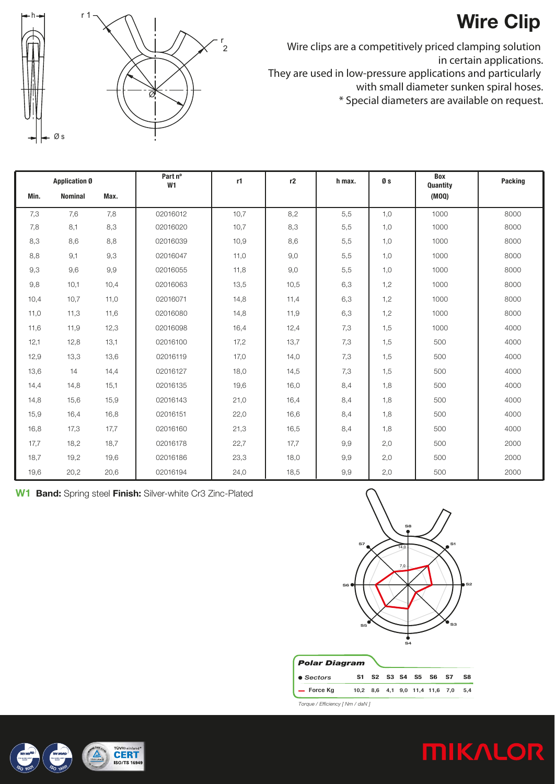## **Wire Clip**



Wire clips are a competitively priced clamping solution in certain applications.

They are used in low-pressure applications and particularly

with small diameter sunken spiral hoses.

\* Special diameters are available on request.

| <b>Application Ø</b> |                |      | Part nº<br>W1 | r1   | r2   | h max. | Øs  | Box<br>Quantity | Packing |
|----------------------|----------------|------|---------------|------|------|--------|-----|-----------------|---------|
| Min.                 | <b>Nominal</b> | Max. |               |      |      |        |     | (MOO)           |         |
| 7,3                  | 7,6            | 7,8  | 02016012      | 10,7 | 8,2  | 5,5    | 1,0 | 1000            | 8000    |
| 7,8                  | 8,1            | 8,3  | 02016020      | 10,7 | 8,3  | 5,5    | 1,0 | 1000            | 8000    |
| 8,3                  | 8,6            | 8,8  | 02016039      | 10,9 | 8,6  | 5,5    | 1,0 | 1000            | 8000    |
| 8,8                  | 9,1            | 9,3  | 02016047      | 11,0 | 9,0  | 5,5    | 1,0 | 1000            | 8000    |
| 9,3                  | 9,6            | 9,9  | 02016055      | 11,8 | 9,0  | 5,5    | 1,0 | 1000            | 8000    |
| 9,8                  | 10,1           | 10,4 | 02016063      | 13,5 | 10,5 | 6,3    | 1,2 | 1000            | 8000    |
| 10,4                 | 10,7           | 11,0 | 02016071      | 14,8 | 11,4 | 6,3    | 1,2 | 1000            | 8000    |
| 11,0                 | 11,3           | 11,6 | 02016080      | 14,8 | 11,9 | 6,3    | 1,2 | 1000            | 8000    |
| 11,6                 | 11,9           | 12,3 | 02016098      | 16,4 | 12,4 | 7,3    | 1,5 | 1000            | 4000    |
| 12,1                 | 12,8           | 13,1 | 02016100      | 17,2 | 13,7 | 7,3    | 1,5 | 500             | 4000    |
| 12,9                 | 13,3           | 13,6 | 02016119      | 17,0 | 14,0 | 7,3    | 1,5 | 500             | 4000    |
| 13,6                 | 14             | 14,4 | 02016127      | 18,0 | 14,5 | 7,3    | 1,5 | 500             | 4000    |
| 14,4                 | 14,8           | 15,1 | 02016135      | 19,6 | 16,0 | 8,4    | 1,8 | 500             | 4000    |
| 14,8                 | 15,6           | 15,9 | 02016143      | 21,0 | 16,4 | 8,4    | 1,8 | 500             | 4000    |
| 15,9                 | 16,4           | 16,8 | 02016151      | 22,0 | 16,6 | 8,4    | 1,8 | 500             | 4000    |
| 16,8                 | 17,3           | 17,7 | 02016160      | 21,3 | 16,5 | 8,4    | 1,8 | 500             | 4000    |
| 17,7                 | 18,2           | 18,7 | 02016178      | 22,7 | 17,7 | 9,9    | 2,0 | 500             | 2000    |
| 18,7                 | 19,2           | 19,6 | 02016186      | 23,3 | 18,0 | 9,9    | 2,0 | 500             | 2000    |
| 19,6                 | 20,2           | 20,6 | 02016194      | 24,0 | 18,5 | 9,9    | 2,0 | 500             | 2000    |

W1 Band: Spring steel Finish: Silver-white Cr3 Zinc-Plated



*Torque / Efficiency [ Nm / daN ]*

**MIKALOR**